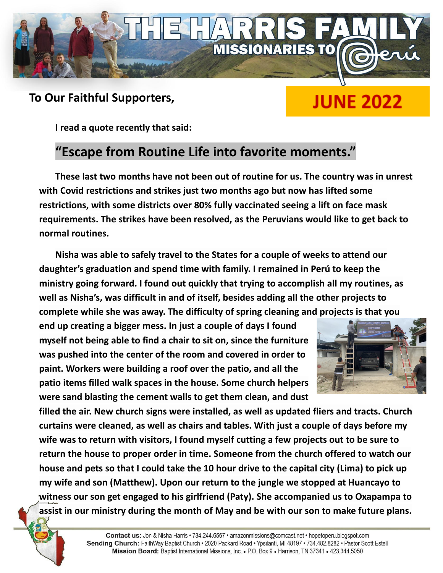

## **To Our Faithful Supporters,**

# **JUNE 2022**

**I read a quote recently that said:**

# **"Escape from Routine Life into favorite moments."**

**These last two months have not been out of routine for us. The country was in unrest with Covid restrictions and strikes just two months ago but now has lifted some restrictions, with some districts over 80% fully vaccinated seeing a lift on face mask requirements. The strikes have been resolved, as the Peruvians would like to get back to normal routines.**

**Nisha was able to safely travel to the States for a couple of weeks to attend our daughter's graduation and spend time with family. I remained in Perú to keep the ministry going forward. I found out quickly that trying to accomplish all my routines, as well as Nisha's, was difficult in and of itself, besides adding all the other projects to complete while she was away. The difficulty of spring cleaning and projects is that you**

**end up creating a bigger mess. In just a couple of days I found myself not being able to find a chair to sit on, since the furniture was pushed into the center of the room and covered in order to paint. Workers were building a roof over the patio, and all the patio items filled walk spaces in the house. Some church helpers were sand blasting the cement walls to get them clean, and dust**



**filled the air. New church signs were installed, as well as updated fliers and tracts. Church curtains were cleaned, as well as chairs and tables. With just a couple of days before my wife was to return with visitors, I found myself cutting a few projects out to be sure to return the house to proper order in time. Someone from the church offered to watch our** house and pets so that I could take the 10 hour drive to the capital city (Lima) to pick up **my wife and son (Matthew). Upon our return to the jungle we stopped at Huancayo to witness our son get engaged to his girlfriend (Paty). She accompanied us to Oxapampa to assist in our ministry during the month of May and be with our son to make future plans.**